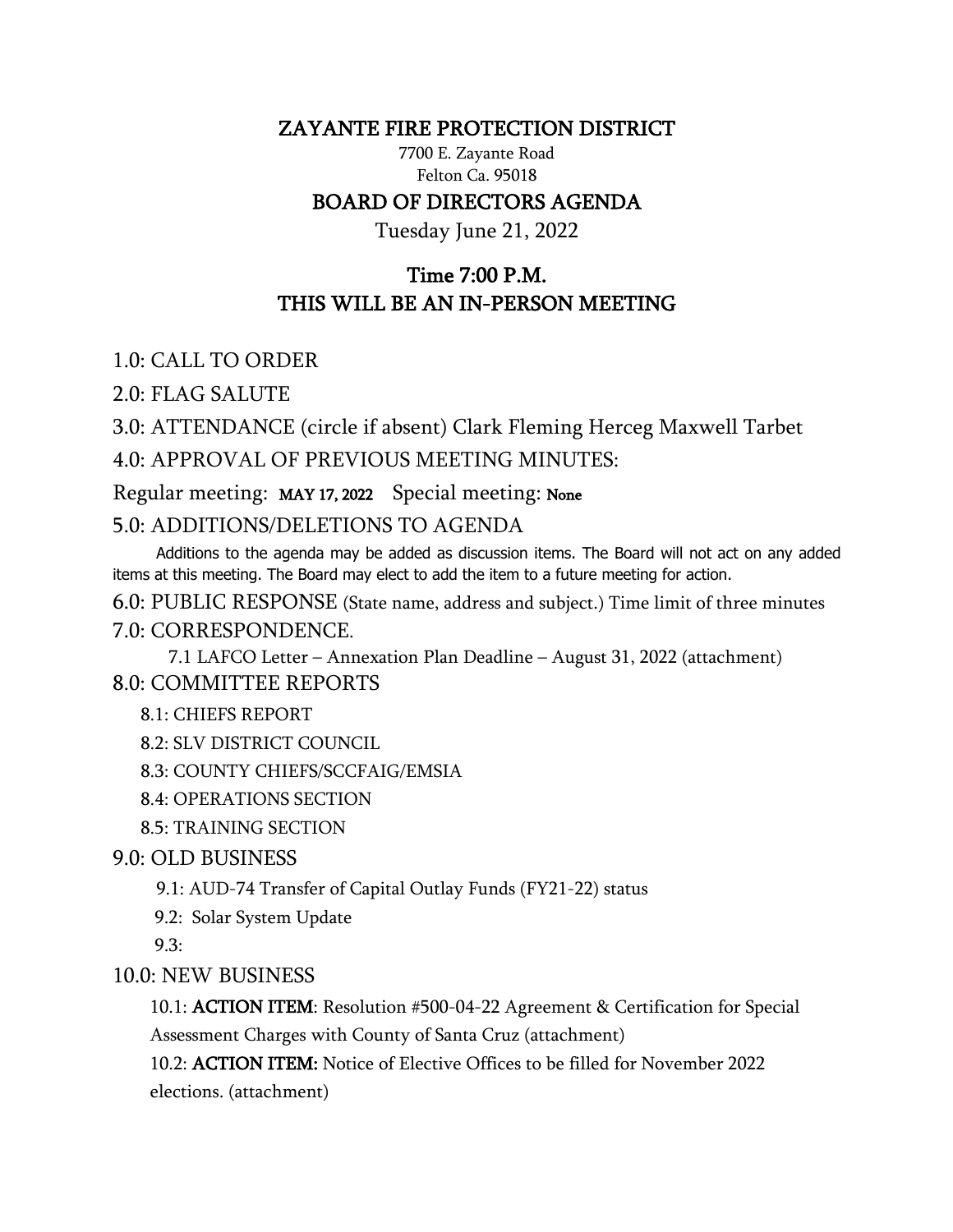## ZAYANTE FIRE PROTECTION DISTRICT

7700 E. Zayante Road Felton Ca. 95018 BOARD OF DIRECTORS AGENDA

Tuesday June 21, 2022

## Time 7:00 P.M. THIS WILL BE AN IN-PERSON MEETING

1.0: CALL TO ORDER

2.0: FLAG SALUTE

3.0: ATTENDANCE (circle if absent) Clark Fleming Herceg Maxwell Tarbet 4.0: APPROVAL OF PREVIOUS MEETING MINUTES:

Regular meeting: MAY 17, 2022 Special meeting: None

5.0: ADDITIONS/DELETIONS TO AGENDA

 Additions to the agenda may be added as discussion items. The Board will not act on any added items at this meeting. The Board may elect to add the item to a future meeting for action.

6.0: PUBLIC RESPONSE (State name, address and subject.) Time limit of three minutes 7.0: CORRESPONDENCE.

7.1 LAFCO Letter – Annexation Plan Deadline – August 31, 2022 (attachment) 8.0: COMMITTEE REPORTS

8.1: CHIEFS REPORT

8.2: SLV DISTRICT COUNCIL

8.3: COUNTY CHIEFS/SCCFAIG/EMSIA

8.4: OPERATIONS SECTION

8.5: TRAINING SECTION

9.0: OLD BUSINESS

9.1: AUD-74 Transfer of Capital Outlay Funds (FY21-22) status

9.2: Solar System Update

9.3:

10.0: NEW BUSINESS

10.1: ACTION ITEM: Resolution #500-04-22 Agreement & Certification for Special Assessment Charges with County of Santa Cruz (attachment)

10.2: ACTION ITEM: Notice of Elective Offices to be filled for November 2022 elections. (attachment)